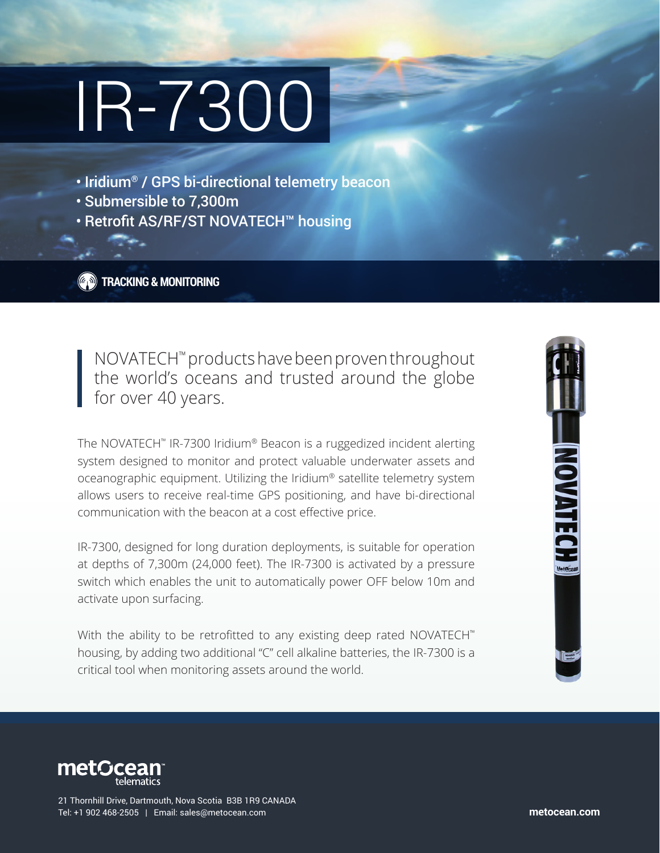# IR-7300

- Iridium® / GPS bi-directional telemetry beacon
- Submersible to 7,300m
- Retrofit AS/RF/ST NOVATECH™ housing

**(6)** TRACKING & MONITORING

NOVATECH™ products have been proven throughout the world's oceans and trusted around the globe for over 40 years.

The NOVATECH™ IR-7300 Iridium® Beacon is a ruggedized incident alerting system designed to monitor and protect valuable underwater assets and oceanographic equipment. Utilizing the Iridium® satellite telemetry system allows users to receive real-time GPS positioning, and have bi-directional communication with the beacon at a cost effective price.

IR-7300, designed for long duration deployments, is suitable for operation at depths of 7,300m (24,000 feet). The IR-7300 is activated by a pressure switch which enables the unit to automatically power OFF below 10m and activate upon surfacing.

With the ability to be retrofitted to any existing deep rated NOVATECH<sup>™</sup> housing, by adding two additional "C" cell alkaline batteries, the IR-7300 is a critical tool when monitoring assets around the world.





21 Thornhill Drive, Dartmouth, Nova Scotia B3B 1R9 CANADA Tel: +1 902 468-2505 | Email: sales@metocean.com **metocean.com**